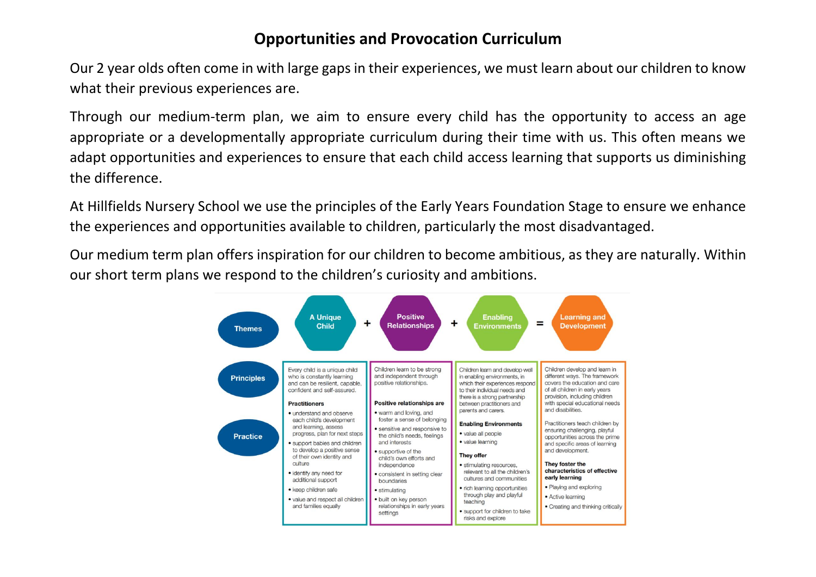## **Opportunities and Provocation Curriculum**

Our 2 year olds often come in with large gaps in their experiences, we must learn about our children to know what their previous experiences are.

Through our medium-term plan, we aim to ensure every child has the opportunity to access an age appropriate or a developmentally appropriate curriculum during their time with us. This often means we adapt opportunities and experiences to ensure that each child access learning that supports us diminishing the difference.

At Hillfields Nursery School we use the principles of the Early Years Foundation Stage to ensure we enhance the experiences and opportunities available to children, particularly the most disadvantaged.

Our medium term plan offers inspiration for our children to become ambitious, as they are naturally. Within our short term plans we respond to the children's curiosity and ambitions.

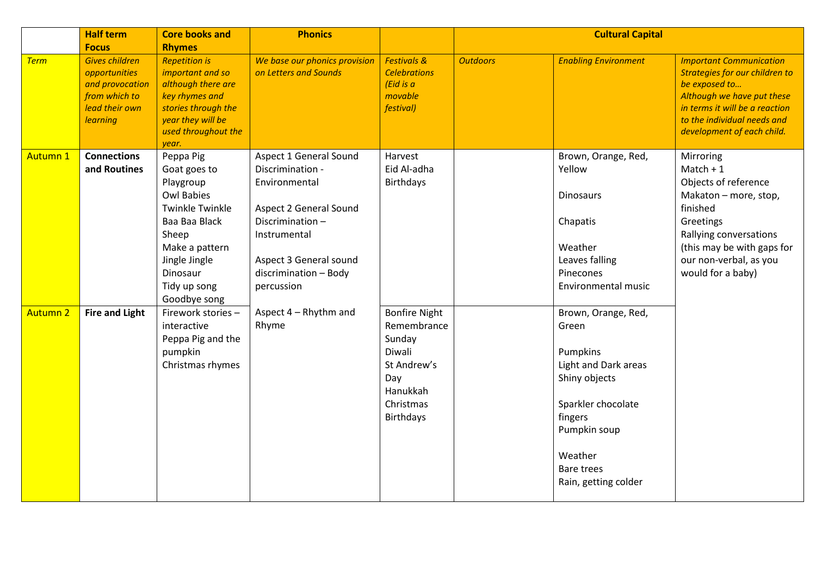|                 | <b>Half term</b>                                                                                                                | <b>Core books and</b>                                                                                                                                                                          | <b>Phonics</b>                                                                                                                                                                            |                                                                                                                            |                 | <b>Cultural Capital</b>                                                                                                                                                                    |                                                                                                                                                                                                                |
|-----------------|---------------------------------------------------------------------------------------------------------------------------------|------------------------------------------------------------------------------------------------------------------------------------------------------------------------------------------------|-------------------------------------------------------------------------------------------------------------------------------------------------------------------------------------------|----------------------------------------------------------------------------------------------------------------------------|-----------------|--------------------------------------------------------------------------------------------------------------------------------------------------------------------------------------------|----------------------------------------------------------------------------------------------------------------------------------------------------------------------------------------------------------------|
| <b>Term</b>     | <b>Focus</b><br><b>Gives children</b><br>opportunities<br>and provocation<br>from which to<br>lead their own<br><b>learning</b> | <b>Rhymes</b><br><b>Repetition is</b><br>important and so<br>although there are<br>key rhymes and<br>stories through the<br>year they will be<br>used throughout the<br>year.                  | We base our phonics provision<br>on Letters and Sounds                                                                                                                                    | <b>Festivals &amp;</b><br><b>Celebrations</b><br>(Eid is a)<br>movable<br>festival)                                        | <b>Outdoors</b> | <b>Enabling Environment</b>                                                                                                                                                                | <b>Important Communication</b><br>Strategies for our children to<br>be exposed to<br>Although we have put these<br>in terms it will be a reaction<br>to the individual needs and<br>development of each child. |
| <b>Autumn 1</b> | <b>Connections</b><br>and Routines                                                                                              | Peppa Pig<br>Goat goes to<br>Playgroup<br><b>Owl Babies</b><br><b>Twinkle Twinkle</b><br>Baa Baa Black<br>Sheep<br>Make a pattern<br>Jingle Jingle<br>Dinosaur<br>Tidy up song<br>Goodbye song | Aspect 1 General Sound<br>Discrimination -<br>Environmental<br>Aspect 2 General Sound<br>Discrimination-<br>Instrumental<br>Aspect 3 General sound<br>discrimination - Body<br>percussion | Harvest<br>Eid Al-adha<br><b>Birthdays</b>                                                                                 |                 | Brown, Orange, Red,<br>Yellow<br><b>Dinosaurs</b><br>Chapatis<br>Weather<br>Leaves falling<br>Pinecones<br><b>Environmental music</b>                                                      | Mirroring<br>$Match + 1$<br>Objects of reference<br>Makaton - more, stop,<br>finished<br>Greetings<br>Rallying conversations<br>(this may be with gaps for<br>our non-verbal, as you<br>would for a baby)      |
| <b>Autumn 2</b> | <b>Fire and Light</b>                                                                                                           | Firework stories -<br>interactive<br>Peppa Pig and the<br>pumpkin<br>Christmas rhymes                                                                                                          | Aspect 4 - Rhythm and<br>Rhyme                                                                                                                                                            | <b>Bonfire Night</b><br>Remembrance<br>Sunday<br>Diwali<br>St Andrew's<br>Day<br>Hanukkah<br>Christmas<br><b>Birthdays</b> |                 | Brown, Orange, Red,<br>Green<br>Pumpkins<br>Light and Dark areas<br>Shiny objects<br>Sparkler chocolate<br>fingers<br>Pumpkin soup<br>Weather<br><b>Bare trees</b><br>Rain, getting colder |                                                                                                                                                                                                                |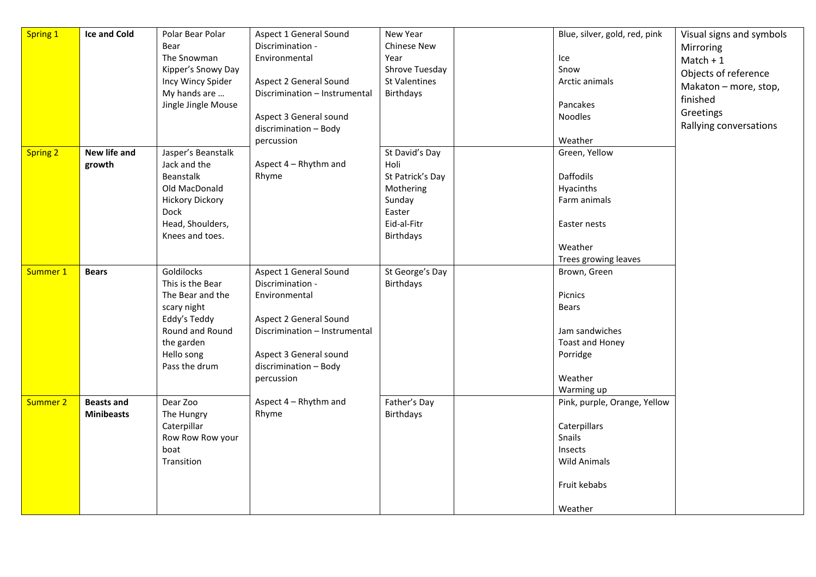| Spring 1        | <b>Ice and Cold</b> | Polar Bear Polar            | Aspect 1 General Sound        | New Year             | Blue, silver, gold, red, pink | Visual signs and symbols |
|-----------------|---------------------|-----------------------------|-------------------------------|----------------------|-------------------------------|--------------------------|
|                 |                     | Bear                        | Discrimination -              | <b>Chinese New</b>   |                               | Mirroring                |
|                 |                     | The Snowman                 | Environmental                 | Year                 | Ice                           | $Match + 1$              |
|                 |                     | Kipper's Snowy Day          |                               | Shrove Tuesday       | Snow                          | Objects of reference     |
|                 |                     | Incy Wincy Spider           | Aspect 2 General Sound        | <b>St Valentines</b> | Arctic animals                |                          |
|                 |                     | My hands are                | Discrimination - Instrumental | Birthdays            |                               | Makaton - more, stop,    |
|                 |                     | Jingle Jingle Mouse         |                               |                      | Pancakes                      | finished                 |
|                 |                     |                             | Aspect 3 General sound        |                      | Noodles                       | Greetings                |
|                 |                     |                             | discrimination - Body         |                      |                               | Rallying conversations   |
|                 |                     |                             | percussion                    |                      | Weather                       |                          |
| <b>Spring 2</b> | New life and        | Jasper's Beanstalk          |                               | St David's Day       | Green, Yellow                 |                          |
|                 | growth              | Jack and the                | Aspect 4 - Rhythm and         | Holi                 |                               |                          |
|                 |                     | Beanstalk                   | Rhyme                         | St Patrick's Day     | Daffodils                     |                          |
|                 |                     | Old MacDonald               |                               | Mothering            | Hyacinths                     |                          |
|                 |                     | <b>Hickory Dickory</b>      |                               | Sunday               | Farm animals                  |                          |
|                 |                     | <b>Dock</b>                 |                               | Easter               |                               |                          |
|                 |                     | Head, Shoulders,            |                               | Eid-al-Fitr          | Easter nests                  |                          |
|                 |                     | Knees and toes.             |                               | Birthdays            |                               |                          |
|                 |                     |                             |                               |                      | Weather                       |                          |
|                 |                     |                             |                               |                      | Trees growing leaves          |                          |
| Summer 1        | <b>Bears</b>        | Goldilocks                  | Aspect 1 General Sound        | St George's Day      | Brown, Green                  |                          |
|                 |                     | This is the Bear            | Discrimination -              | Birthdays            |                               |                          |
|                 |                     | The Bear and the            | Environmental                 |                      | Picnics<br><b>Bears</b>       |                          |
|                 |                     | scary night<br>Eddy's Teddy | Aspect 2 General Sound        |                      |                               |                          |
|                 |                     | Round and Round             | Discrimination - Instrumental |                      | Jam sandwiches                |                          |
|                 |                     | the garden                  |                               |                      | Toast and Honey               |                          |
|                 |                     | Hello song                  | Aspect 3 General sound        |                      | Porridge                      |                          |
|                 |                     | Pass the drum               | discrimination - Body         |                      |                               |                          |
|                 |                     |                             | percussion                    |                      | Weather                       |                          |
|                 |                     |                             |                               |                      | Warming up                    |                          |
| Summer 2        | <b>Beasts and</b>   | Dear Zoo                    | Aspect 4 - Rhythm and         | Father's Day         | Pink, purple, Orange, Yellow  |                          |
|                 | <b>Minibeasts</b>   | The Hungry                  | Rhyme                         | Birthdays            |                               |                          |
|                 |                     | Caterpillar                 |                               |                      | Caterpillars                  |                          |
|                 |                     | Row Row Row your            |                               |                      | Snails                        |                          |
|                 |                     | boat                        |                               |                      | Insects                       |                          |
|                 |                     | Transition                  |                               |                      | <b>Wild Animals</b>           |                          |
|                 |                     |                             |                               |                      |                               |                          |
|                 |                     |                             |                               |                      | Fruit kebabs                  |                          |
|                 |                     |                             |                               |                      |                               |                          |
|                 |                     |                             |                               |                      | Weather                       |                          |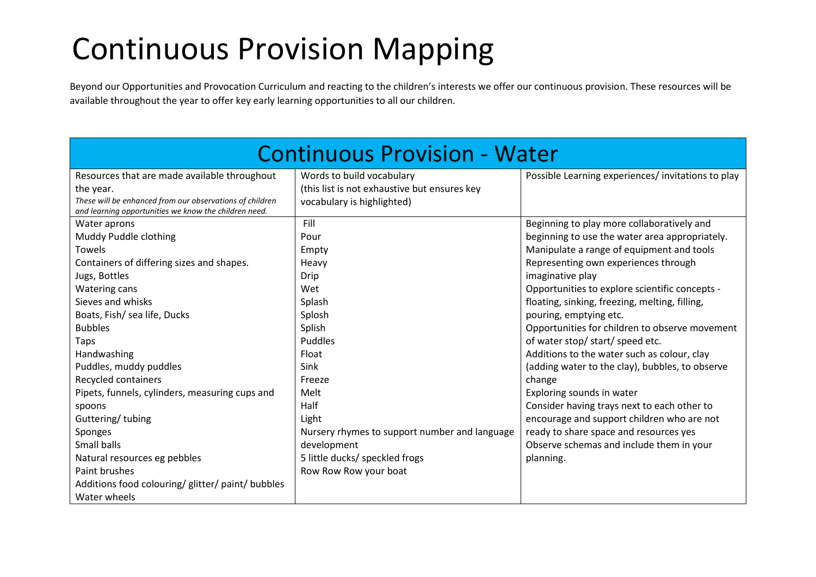## Continuous Provision Mapping

Beyond our Opportunities and Provocation Curriculum and reacting to the children's interests we offer our continuous provision. These resources will be available throughout the year to offer key early learning opportunities to all our children.

| <b>Continuous Provision - Water</b>                                                                               |                                               |                                                   |  |  |  |
|-------------------------------------------------------------------------------------------------------------------|-----------------------------------------------|---------------------------------------------------|--|--|--|
| Resources that are made available throughout                                                                      | Words to build vocabulary                     | Possible Learning experiences/invitations to play |  |  |  |
| the year.                                                                                                         | (this list is not exhaustive but ensures key  |                                                   |  |  |  |
| These will be enhanced from our observations of children<br>and learning opportunities we know the children need. | vocabulary is highlighted)                    |                                                   |  |  |  |
| Water aprons                                                                                                      | Fill                                          | Beginning to play more collaboratively and        |  |  |  |
| Muddy Puddle clothing                                                                                             | Pour                                          | beginning to use the water area appropriately.    |  |  |  |
| Towels                                                                                                            | Empty                                         | Manipulate a range of equipment and tools         |  |  |  |
| Containers of differing sizes and shapes.                                                                         | Heavy                                         | Representing own experiences through              |  |  |  |
| Jugs, Bottles                                                                                                     | <b>Drip</b>                                   | imaginative play                                  |  |  |  |
| <b>Watering cans</b>                                                                                              | Wet                                           | Opportunities to explore scientific concepts -    |  |  |  |
| Sieves and whisks                                                                                                 | Splash                                        | floating, sinking, freezing, melting, filling,    |  |  |  |
| Boats, Fish/ sea life, Ducks                                                                                      | Splosh                                        | pouring, emptying etc.                            |  |  |  |
| <b>Bubbles</b>                                                                                                    | Splish                                        | Opportunities for children to observe movement    |  |  |  |
| Taps                                                                                                              | <b>Puddles</b>                                | of water stop/ start/ speed etc.                  |  |  |  |
| Handwashing                                                                                                       | Float                                         | Additions to the water such as colour, clay       |  |  |  |
| Puddles, muddy puddles                                                                                            | <b>Sink</b>                                   | (adding water to the clay), bubbles, to observe   |  |  |  |
| Recycled containers                                                                                               | Freeze                                        | change                                            |  |  |  |
| Pipets, funnels, cylinders, measuring cups and                                                                    | Melt                                          | Exploring sounds in water                         |  |  |  |
| spoons                                                                                                            | Half                                          | Consider having trays next to each other to       |  |  |  |
| Guttering/tubing                                                                                                  | Light                                         | encourage and support children who are not        |  |  |  |
| Sponges                                                                                                           | Nursery rhymes to support number and language | ready to share space and resources yes            |  |  |  |
| Small balls                                                                                                       | development                                   | Observe schemas and include them in your          |  |  |  |
| Natural resources eg pebbles                                                                                      | 5 little ducks/ speckled frogs                | planning.                                         |  |  |  |
| Paint brushes                                                                                                     | Row Row Row your boat                         |                                                   |  |  |  |
| Additions food colouring/ glitter/ paint/ bubbles                                                                 |                                               |                                                   |  |  |  |
| Water wheels                                                                                                      |                                               |                                                   |  |  |  |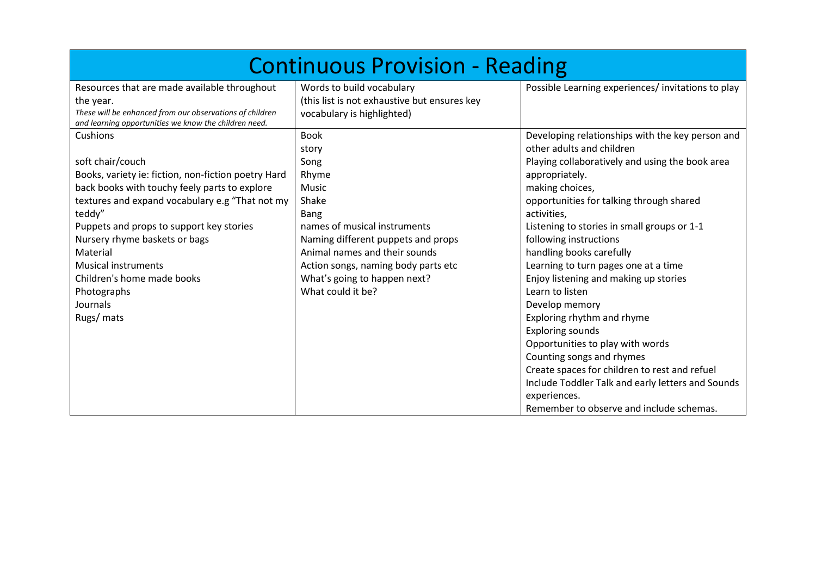| <b>Continuous Provision - Reading</b>                                                                             |                                                                           |                                                   |  |  |  |
|-------------------------------------------------------------------------------------------------------------------|---------------------------------------------------------------------------|---------------------------------------------------|--|--|--|
| Resources that are made available throughout<br>the year.                                                         | Words to build vocabulary<br>(this list is not exhaustive but ensures key | Possible Learning experiences/invitations to play |  |  |  |
| These will be enhanced from our observations of children<br>and learning opportunities we know the children need. | vocabulary is highlighted)                                                |                                                   |  |  |  |
| Cushions                                                                                                          | <b>Book</b>                                                               | Developing relationships with the key person and  |  |  |  |
|                                                                                                                   | story                                                                     | other adults and children                         |  |  |  |
| soft chair/couch                                                                                                  | Song                                                                      | Playing collaboratively and using the book area   |  |  |  |
| Books, variety ie: fiction, non-fiction poetry Hard                                                               | Rhyme                                                                     | appropriately.                                    |  |  |  |
| back books with touchy feely parts to explore                                                                     | <b>Music</b>                                                              | making choices,                                   |  |  |  |
| textures and expand vocabulary e.g "That not my                                                                   | Shake                                                                     | opportunities for talking through shared          |  |  |  |
| teddy"                                                                                                            | Bang                                                                      | activities,                                       |  |  |  |
| Puppets and props to support key stories                                                                          | names of musical instruments                                              | Listening to stories in small groups or 1-1       |  |  |  |
| Nursery rhyme baskets or bags                                                                                     | Naming different puppets and props                                        | following instructions                            |  |  |  |
| Material                                                                                                          | Animal names and their sounds                                             | handling books carefully                          |  |  |  |
| <b>Musical instruments</b>                                                                                        | Action songs, naming body parts etc                                       | Learning to turn pages one at a time              |  |  |  |
| Children's home made books                                                                                        | What's going to happen next?                                              | Enjoy listening and making up stories             |  |  |  |
| Photographs                                                                                                       | What could it be?                                                         | Learn to listen                                   |  |  |  |
| Journals                                                                                                          |                                                                           | Develop memory                                    |  |  |  |
| Rugs/ mats                                                                                                        |                                                                           | Exploring rhythm and rhyme                        |  |  |  |
|                                                                                                                   |                                                                           | <b>Exploring sounds</b>                           |  |  |  |
|                                                                                                                   |                                                                           | Opportunities to play with words                  |  |  |  |
|                                                                                                                   |                                                                           | Counting songs and rhymes                         |  |  |  |
|                                                                                                                   |                                                                           | Create spaces for children to rest and refuel     |  |  |  |
|                                                                                                                   |                                                                           | Include Toddler Talk and early letters and Sounds |  |  |  |
|                                                                                                                   |                                                                           | experiences.                                      |  |  |  |
|                                                                                                                   |                                                                           | Remember to observe and include schemas.          |  |  |  |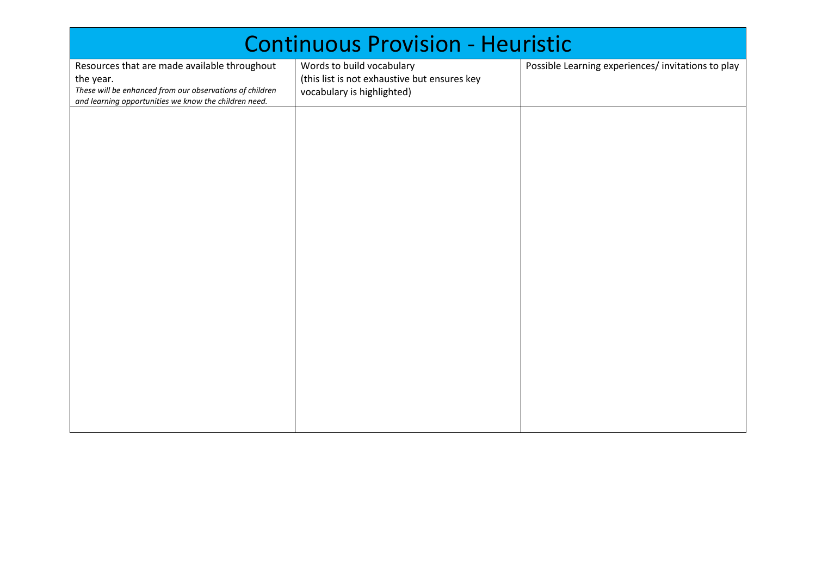| <b>Continuous Provision - Heuristic</b>                                                                                                                                        |                                                                                                         |                                                   |  |  |  |
|--------------------------------------------------------------------------------------------------------------------------------------------------------------------------------|---------------------------------------------------------------------------------------------------------|---------------------------------------------------|--|--|--|
| Resources that are made available throughout<br>the year.<br>These will be enhanced from our observations of children<br>and learning opportunities we know the children need. | Words to build vocabulary<br>(this list is not exhaustive but ensures key<br>vocabulary is highlighted) | Possible Learning experiences/invitations to play |  |  |  |
|                                                                                                                                                                                |                                                                                                         |                                                   |  |  |  |
|                                                                                                                                                                                |                                                                                                         |                                                   |  |  |  |
|                                                                                                                                                                                |                                                                                                         |                                                   |  |  |  |
|                                                                                                                                                                                |                                                                                                         |                                                   |  |  |  |
|                                                                                                                                                                                |                                                                                                         |                                                   |  |  |  |
|                                                                                                                                                                                |                                                                                                         |                                                   |  |  |  |
|                                                                                                                                                                                |                                                                                                         |                                                   |  |  |  |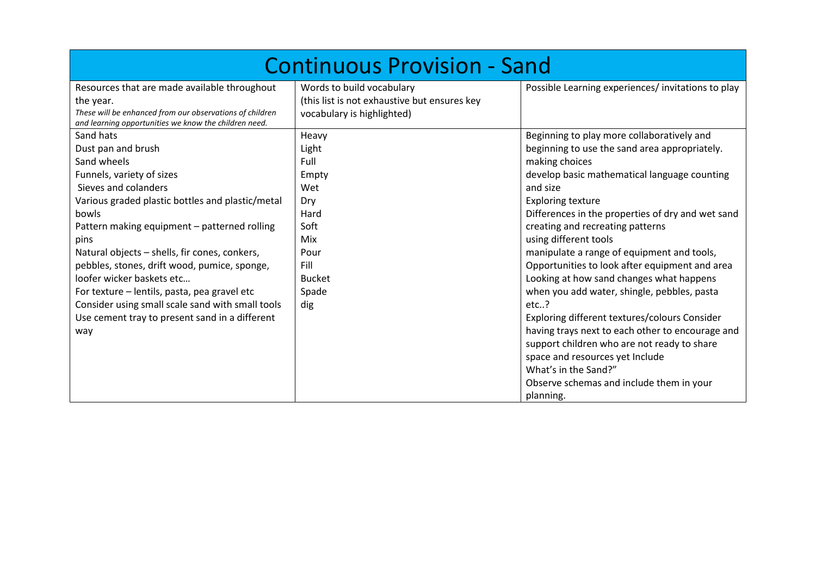| <b>Continuous Provision - Sand</b>                                                                                    |                                                                                                         |                                                                                                                                                            |  |  |  |
|-----------------------------------------------------------------------------------------------------------------------|---------------------------------------------------------------------------------------------------------|------------------------------------------------------------------------------------------------------------------------------------------------------------|--|--|--|
| Resources that are made available throughout<br>the year.<br>These will be enhanced from our observations of children | Words to build vocabulary<br>(this list is not exhaustive but ensures key<br>vocabulary is highlighted) | Possible Learning experiences/invitations to play                                                                                                          |  |  |  |
| and learning opportunities we know the children need.                                                                 |                                                                                                         |                                                                                                                                                            |  |  |  |
| Sand hats                                                                                                             | Heavy                                                                                                   | Beginning to play more collaboratively and                                                                                                                 |  |  |  |
| Dust pan and brush                                                                                                    | Light                                                                                                   | beginning to use the sand area appropriately.                                                                                                              |  |  |  |
| Sand wheels                                                                                                           | Full                                                                                                    | making choices                                                                                                                                             |  |  |  |
| Funnels, variety of sizes                                                                                             | Empty                                                                                                   | develop basic mathematical language counting                                                                                                               |  |  |  |
| Sieves and colanders                                                                                                  | Wet                                                                                                     | and size                                                                                                                                                   |  |  |  |
| Various graded plastic bottles and plastic/metal                                                                      | Dry                                                                                                     | <b>Exploring texture</b>                                                                                                                                   |  |  |  |
| bowls                                                                                                                 | Hard                                                                                                    | Differences in the properties of dry and wet sand                                                                                                          |  |  |  |
| Pattern making equipment - patterned rolling                                                                          | Soft                                                                                                    | creating and recreating patterns                                                                                                                           |  |  |  |
| pins                                                                                                                  | Mix                                                                                                     | using different tools                                                                                                                                      |  |  |  |
| Natural objects - shells, fir cones, conkers,                                                                         | Pour                                                                                                    | manipulate a range of equipment and tools,                                                                                                                 |  |  |  |
| pebbles, stones, drift wood, pumice, sponge,                                                                          | Fill                                                                                                    | Opportunities to look after equipment and area                                                                                                             |  |  |  |
| loofer wicker baskets etc                                                                                             | <b>Bucket</b>                                                                                           | Looking at how sand changes what happens                                                                                                                   |  |  |  |
| For texture - lentils, pasta, pea gravel etc                                                                          | Spade                                                                                                   | when you add water, shingle, pebbles, pasta                                                                                                                |  |  |  |
| Consider using small scale sand with small tools                                                                      | dig                                                                                                     | $etc.$ ?                                                                                                                                                   |  |  |  |
| Use cement tray to present sand in a different                                                                        |                                                                                                         | Exploring different textures/colours Consider                                                                                                              |  |  |  |
| way                                                                                                                   |                                                                                                         | having trays next to each other to encourage and<br>support children who are not ready to share<br>space and resources yet Include<br>What's in the Sand?" |  |  |  |
|                                                                                                                       |                                                                                                         | Observe schemas and include them in your                                                                                                                   |  |  |  |
|                                                                                                                       |                                                                                                         | planning.                                                                                                                                                  |  |  |  |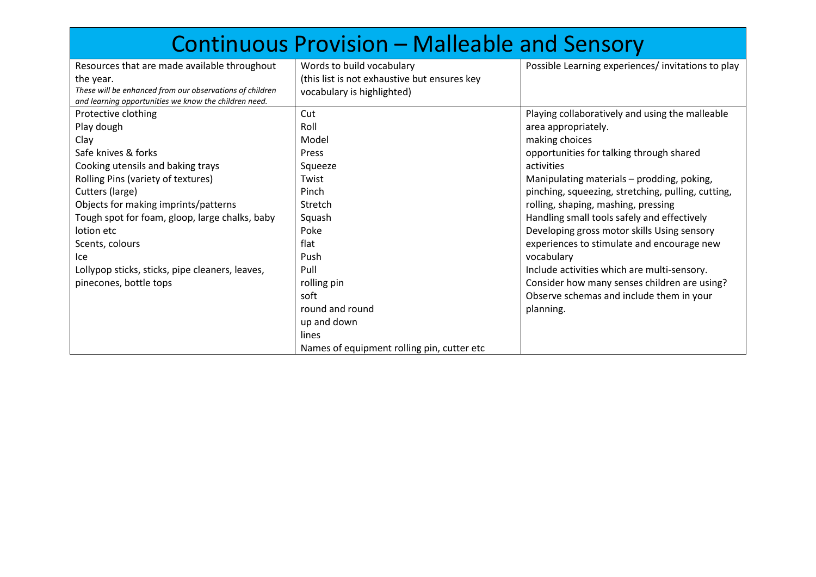|                                                          | <b>Continuous Provision - Malleable and Sensory</b> |                                                    |
|----------------------------------------------------------|-----------------------------------------------------|----------------------------------------------------|
| Resources that are made available throughout             | Words to build vocabulary                           | Possible Learning experiences/invitations to play  |
| the year.                                                | (this list is not exhaustive but ensures key        |                                                    |
| These will be enhanced from our observations of children | vocabulary is highlighted)                          |                                                    |
| and learning opportunities we know the children need.    |                                                     |                                                    |
| Protective clothing                                      | Cut                                                 | Playing collaboratively and using the malleable    |
| Play dough                                               | Roll                                                | area appropriately.                                |
| Clay                                                     | Model                                               | making choices                                     |
| Safe knives & forks                                      | Press                                               | opportunities for talking through shared           |
| Cooking utensils and baking trays                        | Squeeze                                             | activities                                         |
| Rolling Pins (variety of textures)                       | Twist                                               | Manipulating materials - prodding, poking,         |
| Cutters (large)                                          | Pinch                                               | pinching, squeezing, stretching, pulling, cutting, |
| Objects for making imprints/patterns                     | Stretch                                             | rolling, shaping, mashing, pressing                |
| Tough spot for foam, gloop, large chalks, baby           | Squash                                              | Handling small tools safely and effectively        |
| lotion etc                                               | Poke                                                | Developing gross motor skills Using sensory        |
| Scents, colours                                          | flat                                                | experiences to stimulate and encourage new         |
| lce                                                      | Push                                                | vocabulary                                         |
| Lollypop sticks, sticks, pipe cleaners, leaves,          | Pull                                                | Include activities which are multi-sensory.        |
| pinecones, bottle tops                                   | rolling pin                                         | Consider how many senses children are using?       |
|                                                          | soft                                                | Observe schemas and include them in your           |
|                                                          | round and round                                     | planning.                                          |
|                                                          | up and down                                         |                                                    |
|                                                          | lines                                               |                                                    |
|                                                          | Names of equipment rolling pin, cutter etc          |                                                    |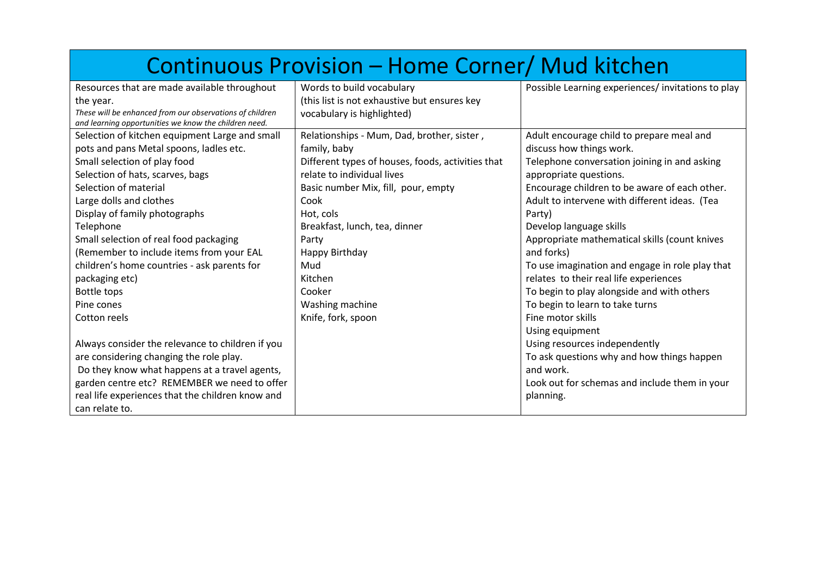|                                                                                                                   | Continuous Provision - Home Corner/ Mud kitchen   |                                                   |
|-------------------------------------------------------------------------------------------------------------------|---------------------------------------------------|---------------------------------------------------|
| Resources that are made available throughout                                                                      | Words to build vocabulary                         | Possible Learning experiences/invitations to play |
| the year.                                                                                                         | (this list is not exhaustive but ensures key      |                                                   |
| These will be enhanced from our observations of children<br>and learning opportunities we know the children need. | vocabulary is highlighted)                        |                                                   |
| Selection of kitchen equipment Large and small                                                                    | Relationships - Mum, Dad, brother, sister,        | Adult encourage child to prepare meal and         |
| pots and pans Metal spoons, ladles etc.                                                                           | family, baby                                      | discuss how things work.                          |
| Small selection of play food                                                                                      | Different types of houses, foods, activities that | Telephone conversation joining in and asking      |
| Selection of hats, scarves, bags                                                                                  | relate to individual lives                        | appropriate questions.                            |
| Selection of material                                                                                             | Basic number Mix, fill, pour, empty               | Encourage children to be aware of each other.     |
| Large dolls and clothes                                                                                           | Cook                                              | Adult to intervene with different ideas. (Tea     |
| Display of family photographs                                                                                     | Hot, cols                                         | Party)                                            |
| Telephone                                                                                                         | Breakfast, lunch, tea, dinner                     | Develop language skills                           |
| Small selection of real food packaging                                                                            | Party                                             | Appropriate mathematical skills (count knives     |
| (Remember to include items from your EAL                                                                          | Happy Birthday                                    | and forks)                                        |
| children's home countries - ask parents for                                                                       | Mud                                               | To use imagination and engage in role play that   |
| packaging etc)                                                                                                    | Kitchen                                           | relates to their real life experiences            |
| Bottle tops                                                                                                       | Cooker                                            | To begin to play alongside and with others        |
| Pine cones                                                                                                        | Washing machine                                   | To begin to learn to take turns                   |
| Cotton reels                                                                                                      | Knife, fork, spoon                                | Fine motor skills                                 |
|                                                                                                                   |                                                   | Using equipment                                   |
| Always consider the relevance to children if you                                                                  |                                                   | Using resources independently                     |
| are considering changing the role play.                                                                           |                                                   | To ask questions why and how things happen        |
| Do they know what happens at a travel agents,                                                                     |                                                   | and work.                                         |
| garden centre etc? REMEMBER we need to offer                                                                      |                                                   | Look out for schemas and include them in your     |
| real life experiences that the children know and                                                                  |                                                   | planning.                                         |
| can relate to.                                                                                                    |                                                   |                                                   |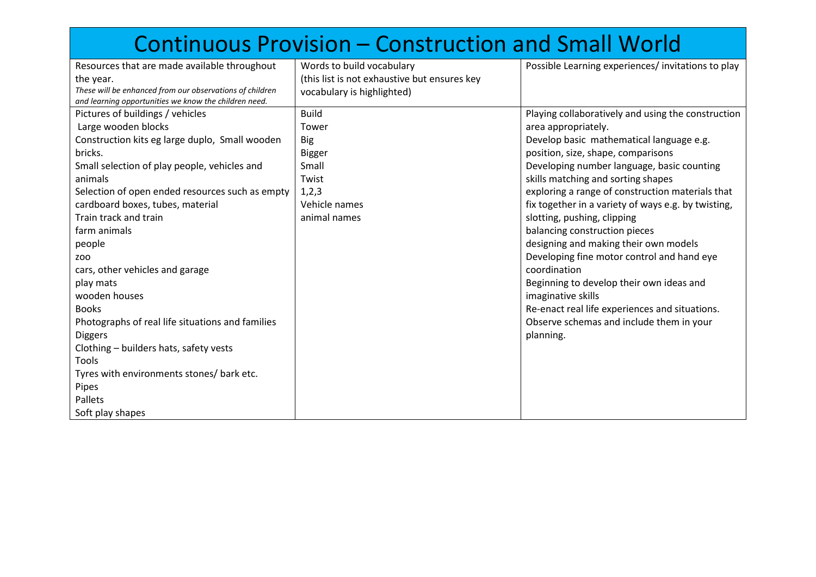|                                                          | <b>Continuous Provision - Construction and Small World</b> |                                                     |
|----------------------------------------------------------|------------------------------------------------------------|-----------------------------------------------------|
| Resources that are made available throughout             | Words to build vocabulary                                  | Possible Learning experiences/ invitations to play  |
| the year.                                                | (this list is not exhaustive but ensures key               |                                                     |
| These will be enhanced from our observations of children | vocabulary is highlighted)                                 |                                                     |
| and learning opportunities we know the children need.    |                                                            |                                                     |
| Pictures of buildings / vehicles                         | <b>Build</b>                                               | Playing collaboratively and using the construction  |
| Large wooden blocks                                      | Tower                                                      | area appropriately.                                 |
| Construction kits eg large duplo, Small wooden           | <b>Big</b>                                                 | Develop basic mathematical language e.g.            |
| bricks.                                                  | <b>Bigger</b>                                              | position, size, shape, comparisons                  |
| Small selection of play people, vehicles and             | Small                                                      | Developing number language, basic counting          |
| animals                                                  | Twist                                                      | skills matching and sorting shapes                  |
| Selection of open ended resources such as empty          | 1,2,3                                                      | exploring a range of construction materials that    |
| cardboard boxes, tubes, material                         | Vehicle names                                              | fix together in a variety of ways e.g. by twisting, |
| Train track and train                                    | animal names                                               | slotting, pushing, clipping                         |
| farm animals                                             |                                                            | balancing construction pieces                       |
| people                                                   |                                                            | designing and making their own models               |
| <b>ZOO</b>                                               |                                                            | Developing fine motor control and hand eye          |
| cars, other vehicles and garage                          |                                                            | coordination                                        |
| play mats                                                |                                                            | Beginning to develop their own ideas and            |
| wooden houses                                            |                                                            | imaginative skills                                  |
| <b>Books</b>                                             |                                                            | Re-enact real life experiences and situations.      |
| Photographs of real life situations and families         |                                                            | Observe schemas and include them in your            |
| <b>Diggers</b>                                           |                                                            | planning.                                           |
| Clothing - builders hats, safety vests                   |                                                            |                                                     |
| Tools                                                    |                                                            |                                                     |
| Tyres with environments stones/ bark etc.                |                                                            |                                                     |
| Pipes                                                    |                                                            |                                                     |
| Pallets                                                  |                                                            |                                                     |
| Soft play shapes                                         |                                                            |                                                     |